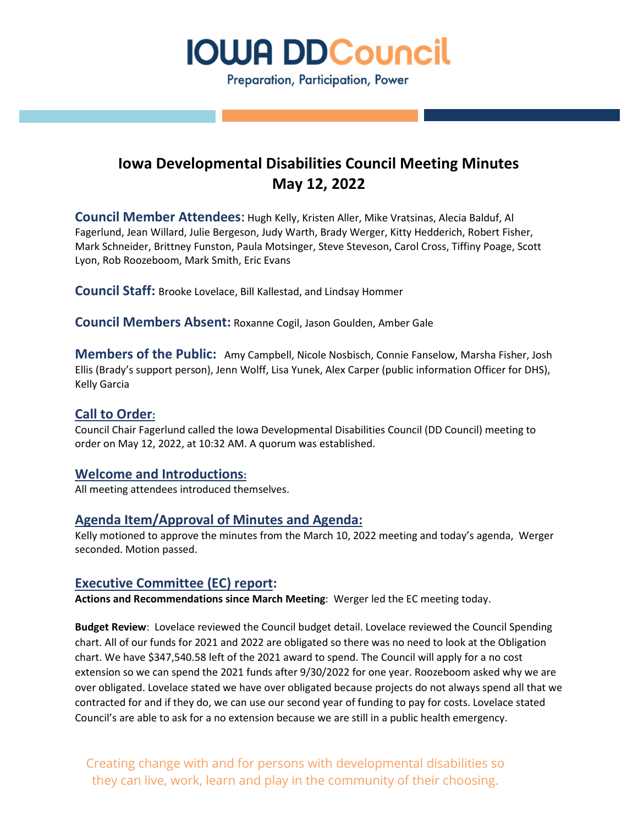

## **Iowa Developmental Disabilities Council Meeting Minutes May 12, 2022**

**Council Member Attendees**: Hugh Kelly, Kristen Aller, Mike Vratsinas, Alecia Balduf, Al Fagerlund, Jean Willard, Julie Bergeson, Judy Warth, Brady Werger, Kitty Hedderich, Robert Fisher, Mark Schneider, Brittney Funston, Paula Motsinger, Steve Steveson, Carol Cross, Tiffiny Poage, Scott Lyon, Rob Roozeboom, Mark Smith, Eric Evans

**Council Staff:** Brooke Lovelace, Bill Kallestad, and Lindsay Hommer

**Council Members Absent:** Roxanne Cogil, Jason Goulden, Amber Gale

**Members of the Public:** Amy Campbell, Nicole Nosbisch, Connie Fanselow, Marsha Fisher, Josh Ellis (Brady's support person), Jenn Wolff, Lisa Yunek, Alex Carper (public information Officer for DHS), Kelly Garcia

### **Call to Order:**

Council Chair Fagerlund called the Iowa Developmental Disabilities Council (DD Council) meeting to order on May 12, 2022, at 10:32 AM. A quorum was established.

### **Welcome and Introductions:**

All meeting attendees introduced themselves.

### **Agenda Item/Approval of Minutes and Agenda:**

Kelly motioned to approve the minutes from the March 10, 2022 meeting and today's agenda, Werger seconded. Motion passed.

### **Executive Committee (EC) report:**

**Actions and Recommendations since March Meeting**: Werger led the EC meeting today.

**Budget Review**: Lovelace reviewed the Council budget detail. Lovelace reviewed the Council Spending chart. All of our funds for 2021 and 2022 are obligated so there was no need to look at the Obligation chart. We have \$347,540.58 left of the 2021 award to spend. The Council will apply for a no cost extension so we can spend the 2021 funds after 9/30/2022 for one year. Roozeboom asked why we are over obligated. Lovelace stated we have over obligated because projects do not always spend all that we contracted for and if they do, we can use our second year of funding to pay for costs. Lovelace stated Council's are able to ask for a no extension because we are still in a public health emergency.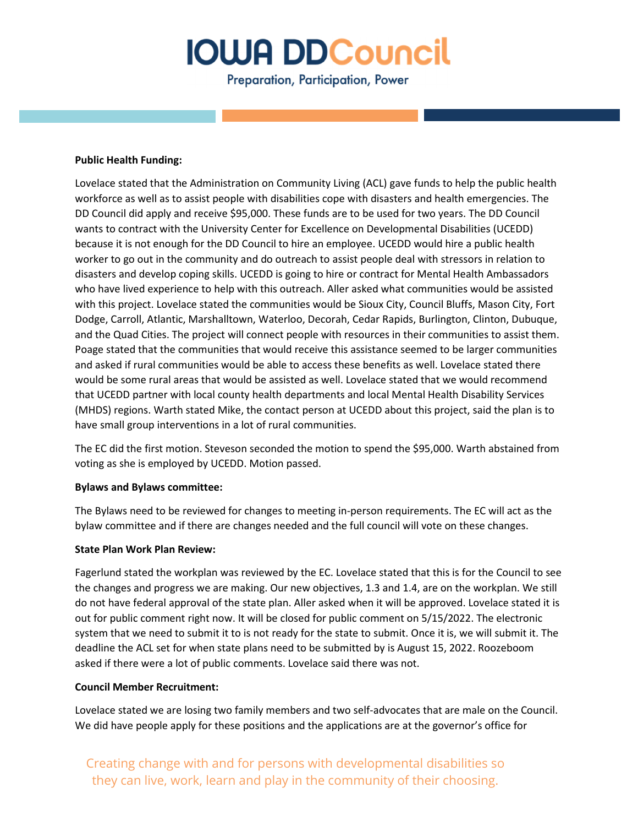Preparation, Participation, Power

#### **Public Health Funding:**

Lovelace stated that the Administration on Community Living (ACL) gave funds to help the public health workforce as well as to assist people with disabilities cope with disasters and health emergencies. The DD Council did apply and receive \$95,000. These funds are to be used for two years. The DD Council wants to contract with the University Center for Excellence on Developmental Disabilities (UCEDD) because it is not enough for the DD Council to hire an employee. UCEDD would hire a public health worker to go out in the community and do outreach to assist people deal with stressors in relation to disasters and develop coping skills. UCEDD is going to hire or contract for Mental Health Ambassadors who have lived experience to help with this outreach. Aller asked what communities would be assisted with this project. Lovelace stated the communities would be Sioux City, Council Bluffs, Mason City, Fort Dodge, Carroll, Atlantic, Marshalltown, Waterloo, Decorah, Cedar Rapids, Burlington, Clinton, Dubuque, and the Quad Cities. The project will connect people with resources in their communities to assist them. Poage stated that the communities that would receive this assistance seemed to be larger communities and asked if rural communities would be able to access these benefits as well. Lovelace stated there would be some rural areas that would be assisted as well. Lovelace stated that we would recommend that UCEDD partner with local county health departments and local Mental Health Disability Services (MHDS) regions. Warth stated Mike, the contact person at UCEDD about this project, said the plan is to have small group interventions in a lot of rural communities.

The EC did the first motion. Steveson seconded the motion to spend the \$95,000. Warth abstained from voting as she is employed by UCEDD. Motion passed.

#### **Bylaws and Bylaws committee:**

The Bylaws need to be reviewed for changes to meeting in-person requirements. The EC will act as the bylaw committee and if there are changes needed and the full council will vote on these changes.

### **State Plan Work Plan Review:**

Fagerlund stated the workplan was reviewed by the EC. Lovelace stated that this is for the Council to see the changes and progress we are making. Our new objectives, 1.3 and 1.4, are on the workplan. We still do not have federal approval of the state plan. Aller asked when it will be approved. Lovelace stated it is out for public comment right now. It will be closed for public comment on 5/15/2022. The electronic system that we need to submit it to is not ready for the state to submit. Once it is, we will submit it. The deadline the ACL set for when state plans need to be submitted by is August 15, 2022. Roozeboom asked if there were a lot of public comments. Lovelace said there was not.

### **Council Member Recruitment:**

Lovelace stated we are losing two family members and two self-advocates that are male on the Council. We did have people apply for these positions and the applications are at the governor's office for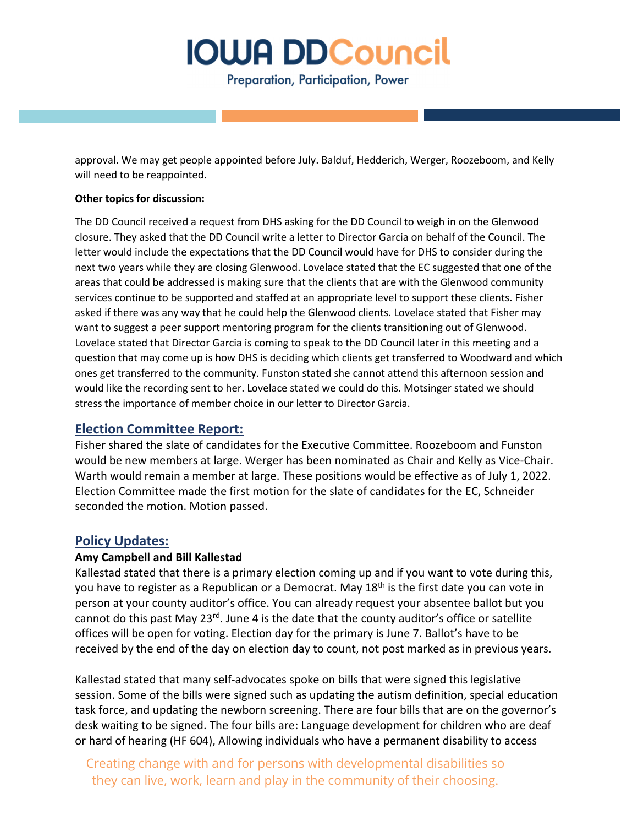Preparation, Participation, Power

approval. We may get people appointed before July. Balduf, Hedderich, Werger, Roozeboom, and Kelly will need to be reappointed.

### **Other topics for discussion:**

The DD Council received a request from DHS asking for the DD Council to weigh in on the Glenwood closure. They asked that the DD Council write a letter to Director Garcia on behalf of the Council. The letter would include the expectations that the DD Council would have for DHS to consider during the next two years while they are closing Glenwood. Lovelace stated that the EC suggested that one of the areas that could be addressed is making sure that the clients that are with the Glenwood community services continue to be supported and staffed at an appropriate level to support these clients. Fisher asked if there was any way that he could help the Glenwood clients. Lovelace stated that Fisher may want to suggest a peer support mentoring program for the clients transitioning out of Glenwood. Lovelace stated that Director Garcia is coming to speak to the DD Council later in this meeting and a question that may come up is how DHS is deciding which clients get transferred to Woodward and which ones get transferred to the community. Funston stated she cannot attend this afternoon session and would like the recording sent to her. Lovelace stated we could do this. Motsinger stated we should stress the importance of member choice in our letter to Director Garcia.

### **Election Committee Report:**

Fisher shared the slate of candidates for the Executive Committee. Roozeboom and Funston would be new members at large. Werger has been nominated as Chair and Kelly as Vice-Chair. Warth would remain a member at large. These positions would be effective as of July 1, 2022. Election Committee made the first motion for the slate of candidates for the EC, Schneider seconded the motion. Motion passed.

### **Policy Updates:**

### **Amy Campbell and Bill Kallestad**

Kallestad stated that there is a primary election coming up and if you want to vote during this, you have to register as a Republican or a Democrat. May 18<sup>th</sup> is the first date you can vote in person at your county auditor's office. You can already request your absentee ballot but you cannot do this past May 23<sup>rd</sup>. June 4 is the date that the county auditor's office or satellite offices will be open for voting. Election day for the primary is June 7. Ballot's have to be received by the end of the day on election day to count, not post marked as in previous years.

Kallestad stated that many self-advocates spoke on bills that were signed this legislative session. Some of the bills were signed such as updating the autism definition, special education task force, and updating the newborn screening. There are four bills that are on the governor's desk waiting to be signed. The four bills are: Language development for children who are deaf or hard of hearing (HF 604), Allowing individuals who have a permanent disability to access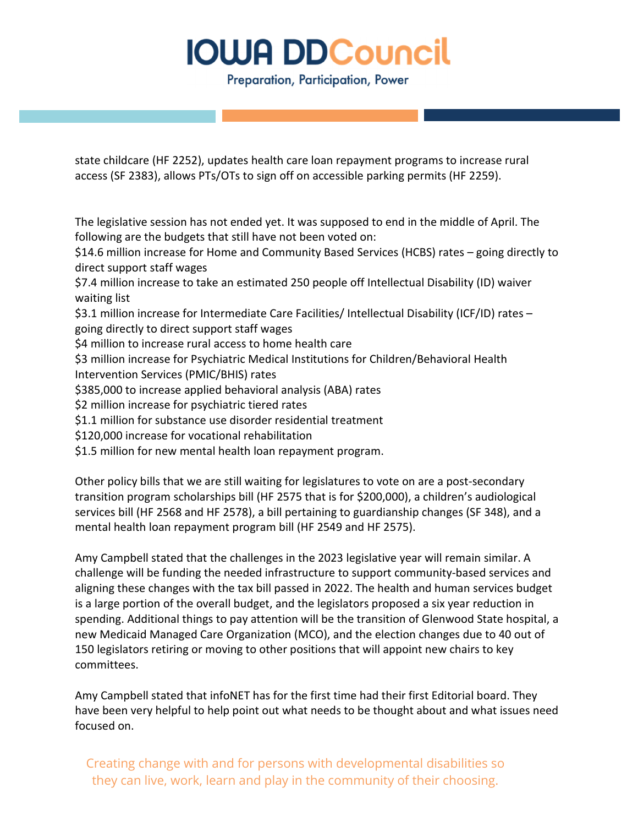Preparation, Participation, Power

state childcare (HF 2252), updates health care loan repayment programs to increase rural access (SF 2383), allows PTs/OTs to sign off on accessible parking permits (HF 2259).

The legislative session has not ended yet. It was supposed to end in the middle of April. The following are the budgets that still have not been voted on:

\$14.6 million increase for Home and Community Based Services (HCBS) rates – going directly to direct support staff wages

\$7.4 million increase to take an estimated 250 people off Intellectual Disability (ID) waiver waiting list

\$3.1 million increase for Intermediate Care Facilities/ Intellectual Disability (ICF/ID) rates – going directly to direct support staff wages

\$4 million to increase rural access to home health care

- \$3 million increase for Psychiatric Medical Institutions for Children/Behavioral Health Intervention Services (PMIC/BHIS) rates
- \$385,000 to increase applied behavioral analysis (ABA) rates
- \$2 million increase for psychiatric tiered rates
- \$1.1 million for substance use disorder residential treatment
- \$120,000 increase for vocational rehabilitation
- \$1.5 million for new mental health loan repayment program.

Other policy bills that we are still waiting for legislatures to vote on are a post-secondary transition program scholarships bill (HF 2575 that is for \$200,000), a children's audiological services bill (HF 2568 and HF 2578), a bill pertaining to guardianship changes (SF 348), and a mental health loan repayment program bill (HF 2549 and HF 2575).

Amy Campbell stated that the challenges in the 2023 legislative year will remain similar. A challenge will be funding the needed infrastructure to support community-based services and aligning these changes with the tax bill passed in 2022. The health and human services budget is a large portion of the overall budget, and the legislators proposed a six year reduction in spending. Additional things to pay attention will be the transition of Glenwood State hospital, a new Medicaid Managed Care Organization (MCO), and the election changes due to 40 out of 150 legislators retiring or moving to other positions that will appoint new chairs to key committees.

Amy Campbell stated that infoNET has for the first time had their first Editorial board. They have been very helpful to help point out what needs to be thought about and what issues need focused on.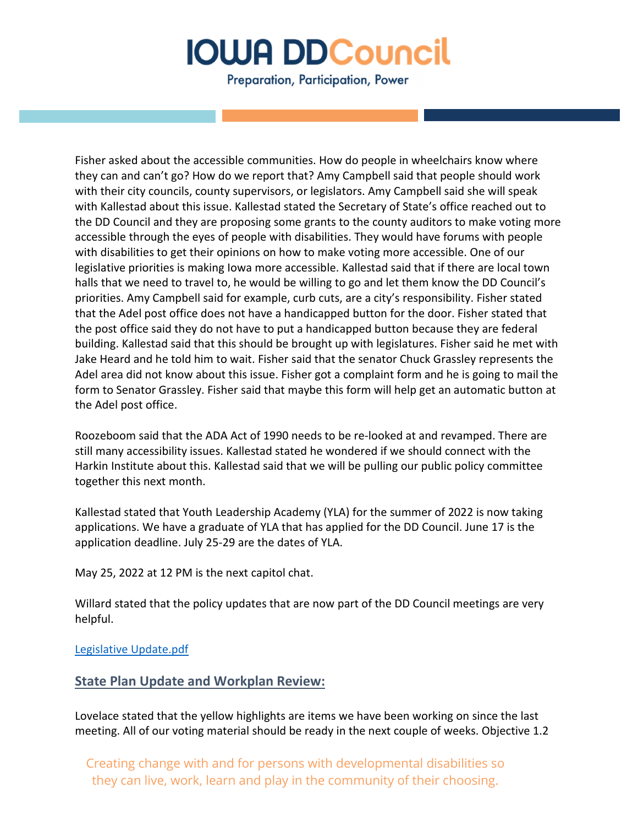Preparation, Participation, Power

Fisher asked about the accessible communities. How do people in wheelchairs know where they can and can't go? How do we report that? Amy Campbell said that people should work with their city councils, county supervisors, or legislators. Amy Campbell said she will speak with Kallestad about this issue. Kallestad stated the Secretary of State's office reached out to the DD Council and they are proposing some grants to the county auditors to make voting more accessible through the eyes of people with disabilities. They would have forums with people with disabilities to get their opinions on how to make voting more accessible. One of our legislative priorities is making Iowa more accessible. Kallestad said that if there are local town halls that we need to travel to, he would be willing to go and let them know the DD Council's priorities. Amy Campbell said for example, curb cuts, are a city's responsibility. Fisher stated that the Adel post office does not have a handicapped button for the door. Fisher stated that the post office said they do not have to put a handicapped button because they are federal building. Kallestad said that this should be brought up with legislatures. Fisher said he met with Jake Heard and he told him to wait. Fisher said that the senator Chuck Grassley represents the Adel area did not know about this issue. Fisher got a complaint form and he is going to mail the form to Senator Grassley. Fisher said that maybe this form will help get an automatic button at the Adel post office.

Roozeboom said that the ADA Act of 1990 needs to be re-looked at and revamped. There are still many accessibility issues. Kallestad stated he wondered if we should connect with the Harkin Institute about this. Kallestad said that we will be pulling our public policy committee together this next month.

Kallestad stated that Youth Leadership Academy (YLA) for the summer of 2022 is now taking applications. We have a graduate of YLA that has applied for the DD Council. June 17 is the application deadline. July 25-29 are the dates of YLA.

May 25, 2022 at 12 PM is the next capitol chat.

Willard stated that the policy updates that are now part of the DD Council meetings are very helpful.

Legislative Update.pdf

### **State Plan Update and Workplan Review:**

Lovelace stated that the yellow highlights are items we have been working on since the last meeting. All of our voting material should be ready in the next couple of weeks. Objective 1.2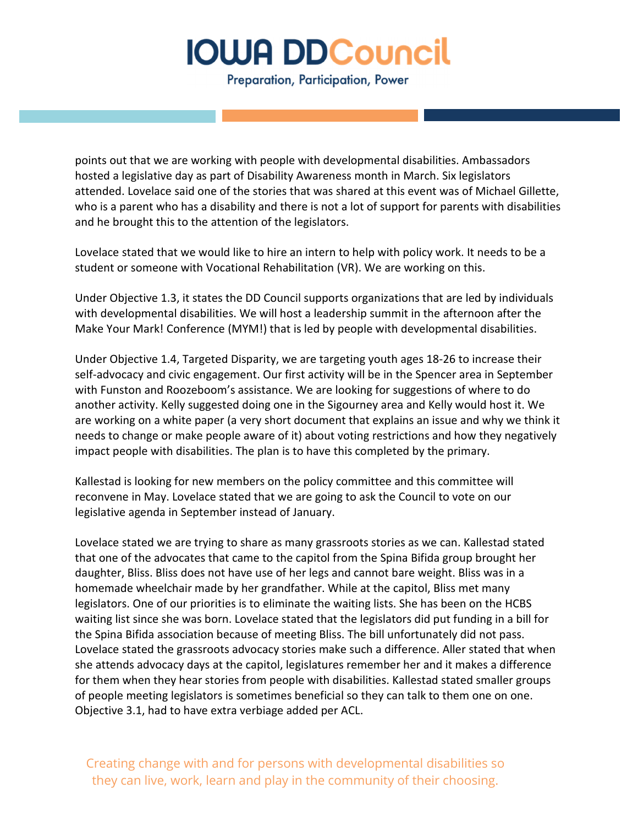Preparation, Participation, Power

points out that we are working with people with developmental disabilities. Ambassadors hosted a legislative day as part of Disability Awareness month in March. Six legislators attended. Lovelace said one of the stories that was shared at this event was of Michael Gillette, who is a parent who has a disability and there is not a lot of support for parents with disabilities and he brought this to the attention of the legislators.

Lovelace stated that we would like to hire an intern to help with policy work. It needs to be a student or someone with Vocational Rehabilitation (VR). We are working on this.

Under Objective 1.3, it states the DD Council supports organizations that are led by individuals with developmental disabilities. We will host a leadership summit in the afternoon after the Make Your Mark! Conference (MYM!) that is led by people with developmental disabilities.

Under Objective 1.4, Targeted Disparity, we are targeting youth ages 18-26 to increase their self-advocacy and civic engagement. Our first activity will be in the Spencer area in September with Funston and Roozeboom's assistance. We are looking for suggestions of where to do another activity. Kelly suggested doing one in the Sigourney area and Kelly would host it. We are working on a white paper (a very short document that explains an issue and why we think it needs to change or make people aware of it) about voting restrictions and how they negatively impact people with disabilities. The plan is to have this completed by the primary.

Kallestad is looking for new members on the policy committee and this committee will reconvene in May. Lovelace stated that we are going to ask the Council to vote on our legislative agenda in September instead of January.

Lovelace stated we are trying to share as many grassroots stories as we can. Kallestad stated that one of the advocates that came to the capitol from the Spina Bifida group brought her daughter, Bliss. Bliss does not have use of her legs and cannot bare weight. Bliss was in a homemade wheelchair made by her grandfather. While at the capitol, Bliss met many legislators. One of our priorities is to eliminate the waiting lists. She has been on the HCBS waiting list since she was born. Lovelace stated that the legislators did put funding in a bill for the Spina Bifida association because of meeting Bliss. The bill unfortunately did not pass. Lovelace stated the grassroots advocacy stories make such a difference. Aller stated that when she attends advocacy days at the capitol, legislatures remember her and it makes a difference for them when they hear stories from people with disabilities. Kallestad stated smaller groups of people meeting legislators is sometimes beneficial so they can talk to them one on one. Objective 3.1, had to have extra verbiage added per ACL.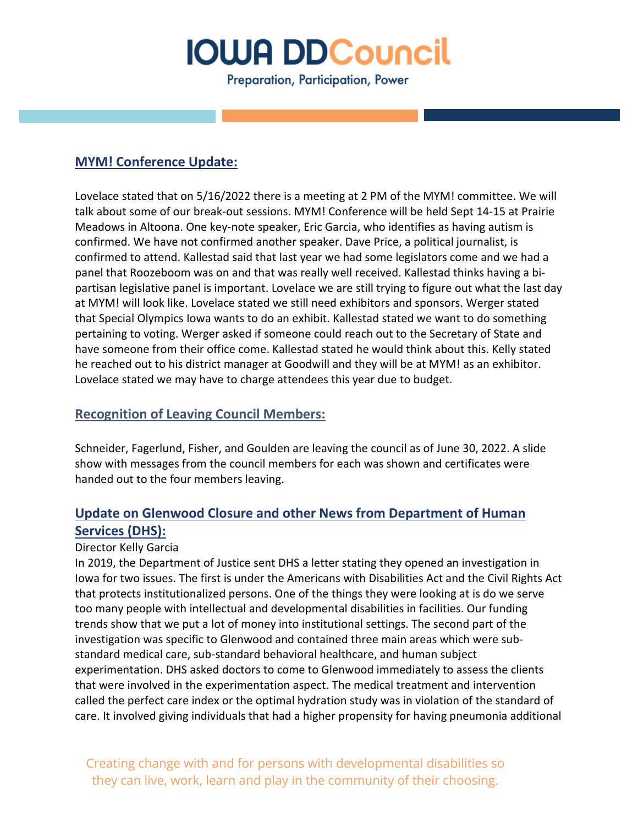Preparation, Participation, Power

## **MYM! Conference Update:**

Lovelace stated that on 5/16/2022 there is a meeting at 2 PM of the MYM! committee. We will talk about some of our break-out sessions. MYM! Conference will be held Sept 14-15 at Prairie Meadows in Altoona. One key-note speaker, Eric Garcia, who identifies as having autism is confirmed. We have not confirmed another speaker. Dave Price, a political journalist, is confirmed to attend. Kallestad said that last year we had some legislators come and we had a panel that Roozeboom was on and that was really well received. Kallestad thinks having a bipartisan legislative panel is important. Lovelace we are still trying to figure out what the last day at MYM! will look like. Lovelace stated we still need exhibitors and sponsors. Werger stated that Special Olympics Iowa wants to do an exhibit. Kallestad stated we want to do something pertaining to voting. Werger asked if someone could reach out to the Secretary of State and have someone from their office come. Kallestad stated he would think about this. Kelly stated he reached out to his district manager at Goodwill and they will be at MYM! as an exhibitor. Lovelace stated we may have to charge attendees this year due to budget.

### **Recognition of Leaving Council Members:**

Schneider, Fagerlund, Fisher, and Goulden are leaving the council as of June 30, 2022. A slide show with messages from the council members for each was shown and certificates were handed out to the four members leaving.

## **Update on Glenwood Closure and other News from Department of Human Services (DHS):**

### Director Kelly Garcia

In 2019, the Department of Justice sent DHS a letter stating they opened an investigation in Iowa for two issues. The first is under the Americans with Disabilities Act and the Civil Rights Act that protects institutionalized persons. One of the things they were looking at is do we serve too many people with intellectual and developmental disabilities in facilities. Our funding trends show that we put a lot of money into institutional settings. The second part of the investigation was specific to Glenwood and contained three main areas which were substandard medical care, sub-standard behavioral healthcare, and human subject experimentation. DHS asked doctors to come to Glenwood immediately to assess the clients that were involved in the experimentation aspect. The medical treatment and intervention called the perfect care index or the optimal hydration study was in violation of the standard of care. It involved giving individuals that had a higher propensity for having pneumonia additional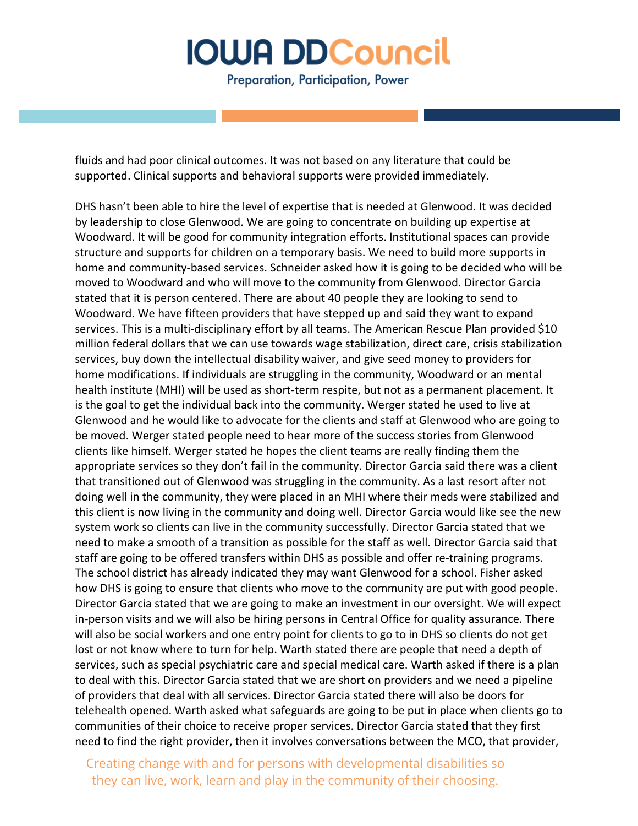Preparation, Participation, Power

fluids and had poor clinical outcomes. It was not based on any literature that could be supported. Clinical supports and behavioral supports were provided immediately.

DHS hasn't been able to hire the level of expertise that is needed at Glenwood. It was decided by leadership to close Glenwood. We are going to concentrate on building up expertise at Woodward. It will be good for community integration efforts. Institutional spaces can provide structure and supports for children on a temporary basis. We need to build more supports in home and community-based services. Schneider asked how it is going to be decided who will be moved to Woodward and who will move to the community from Glenwood. Director Garcia stated that it is person centered. There are about 40 people they are looking to send to Woodward. We have fifteen providers that have stepped up and said they want to expand services. This is a multi-disciplinary effort by all teams. The American Rescue Plan provided \$10 million federal dollars that we can use towards wage stabilization, direct care, crisis stabilization services, buy down the intellectual disability waiver, and give seed money to providers for home modifications. If individuals are struggling in the community, Woodward or an mental health institute (MHI) will be used as short-term respite, but not as a permanent placement. It is the goal to get the individual back into the community. Werger stated he used to live at Glenwood and he would like to advocate for the clients and staff at Glenwood who are going to be moved. Werger stated people need to hear more of the success stories from Glenwood clients like himself. Werger stated he hopes the client teams are really finding them the appropriate services so they don't fail in the community. Director Garcia said there was a client that transitioned out of Glenwood was struggling in the community. As a last resort after not doing well in the community, they were placed in an MHI where their meds were stabilized and this client is now living in the community and doing well. Director Garcia would like see the new system work so clients can live in the community successfully. Director Garcia stated that we need to make a smooth of a transition as possible for the staff as well. Director Garcia said that staff are going to be offered transfers within DHS as possible and offer re-training programs. The school district has already indicated they may want Glenwood for a school. Fisher asked how DHS is going to ensure that clients who move to the community are put with good people. Director Garcia stated that we are going to make an investment in our oversight. We will expect in-person visits and we will also be hiring persons in Central Office for quality assurance. There will also be social workers and one entry point for clients to go to in DHS so clients do not get lost or not know where to turn for help. Warth stated there are people that need a depth of services, such as special psychiatric care and special medical care. Warth asked if there is a plan to deal with this. Director Garcia stated that we are short on providers and we need a pipeline of providers that deal with all services. Director Garcia stated there will also be doors for telehealth opened. Warth asked what safeguards are going to be put in place when clients go to communities of their choice to receive proper services. Director Garcia stated that they first need to find the right provider, then it involves conversations between the MCO, that provider,